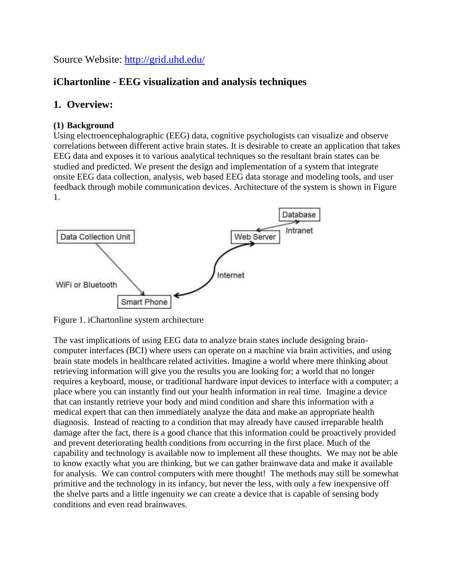Source Website:<http://grid.uhd.edu/>

## **iChartonline - EEG visualization and analysis techniques**

## **1. Overview:**

### **(1) Background**

Using electroencephalographic (EEG) data, cognitive psychologists can visualize and observe correlations between different active brain states. It is desirable to create an application that takes EEG data and exposes it to various analytical techniques so the resultant brain states can be studied and predicted. We present the design and implementation of a system that integrate onsite EEG data collection, analysis, web based EEG data storage and modeling tools, and user feedback through mobile communication devices. Architecture of the system is shown in Figure 1.



Figure 1. iChartonline system architecture

The vast implications of using EEG data to analyze brain states include designing braincomputer interfaces (BCI) where users can operate on a machine via brain activities, and using brain state models in healthcare related activities. Imagine a world where mere thinking about retrieving information will give you the results you are looking for; a world that no longer requires a keyboard, mouse, or traditional hardware input devices to interface with a computer; a place where you can instantly find out your health information in real time. Imagine a device that can instantly retrieve your body and mind condition and share this information with a medical expert that can then immediately analyze the data and make an appropriate health diagnosis. Instead of reacting to a condition that may already have caused irreparable health damage after the fact, there is a good chance that this information could be proactively provided and prevent deteriorating health conditions from occurring in the first place. Much of the capability and technology is available now to implement all these thoughts. We may not be able to know exactly what you are thinking, but we can gather brainwave data and make it available for analysis. We can control computers with mere thought! The methods may still be somewhat primitive and the technology in its infancy, but never the less, with only a few inexpensive off the shelve parts and a little ingenuity we can create a device that is capable of sensing body conditions and even read brainwaves.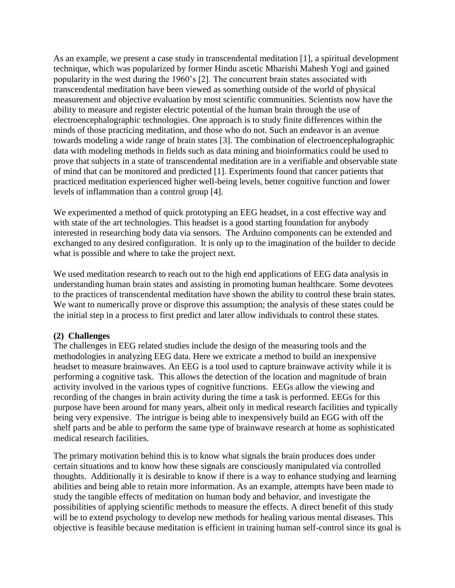As an example, we present a case study in transcendental meditation [1], a spiritual development technique, which was popularized by former Hindu ascetic Mharishi Mahesh Yogi and gained popularity in the west during the 1960's [2]. The concurrent brain states associated with transcendental meditation have been viewed as something outside of the world of physical measurement and objective evaluation by most scientific communities. Scientists now have the ability to measure and register electric potential of the human brain through the use of electroencephalographic technologies. One approach is to study finite differences within the minds of those practicing meditation, and those who do not. Such an endeavor is an avenue towards modeling a wide range of brain states [3]. The combination of electroencephalographic data with modeling methods in fields such as data mining and bioinformatics could be used to prove that subjects in a state of transcendental meditation are in a verifiable and observable state of mind that can be monitored and predicted [1]. Experiments found that cancer patients that practiced meditation experienced higher well-being levels, better cognitive function and lower levels of inflammation than a control group [4].

We experimented a method of quick prototyping an EEG headset, in a cost effective way and with state of the art technologies. This headset is a good starting foundation for anybody interested in researching body data via sensors. The Arduino components can be extended and exchanged to any desired configuration. It is only up to the imagination of the builder to decide what is possible and where to take the project next.

We used meditation research to reach out to the high end applications of EEG data analysis in understanding human brain states and assisting in promoting human healthcare. Some devotees to the practices of transcendental meditation have shown the ability to control these brain states. We want to numerically prove or disprove this assumption; the analysis of these states could be the initial step in a process to first predict and later allow individuals to control these states.

### **(2) Challenges**

The challenges in EEG related studies include the design of the measuring tools and the methodologies in analyzing EEG data. Here we extricate a method to build an inexpensive headset to measure brainwaves. An EEG is a tool used to capture brainwave activity while it is performing a cognitive task. This allows the detection of the location and magnitude of brain activity involved in the various types of cognitive functions. EEGs allow the viewing and recording of the changes in brain activity during the time a task is performed. EEGs for this purpose have been around for many years, albeit only in medical research facilities and typically being very expensive. The intrigue is being able to inexpensively build an EGG with off the shelf parts and be able to perform the same type of brainwave research at home as sophisticated medical research facilities.

The primary motivation behind this is to know what signals the brain produces does under certain situations and to know how these signals are consciously manipulated via controlled thoughts. Additionally it is desirable to know if there is a way to enhance studying and learning abilities and being able to retain more information. As an example, attempts have been made to study the tangible effects of meditation on human body and behavior, and investigate the possibilities of applying scientific methods to measure the effects. A direct benefit of this study will be to extend psychology to develop new methods for healing various mental diseases. This objective is feasible because meditation is efficient in training human self-control since its goal is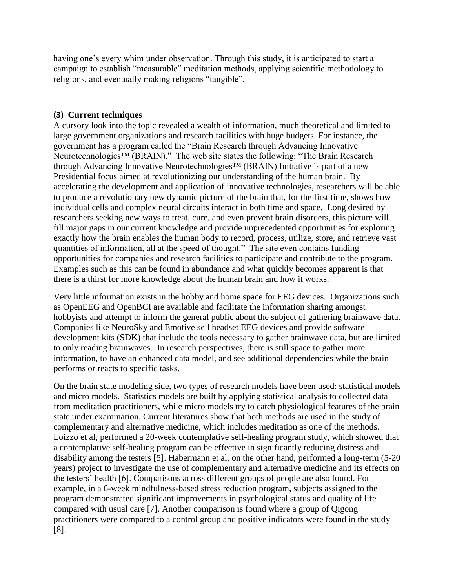having one's every whim under observation. Through this study, it is anticipated to start a campaign to establish "measurable" meditation methods, applying scientific methodology to religions, and eventually making religions "tangible".

### **(3) Current techniques**

A cursory look into the topic revealed a wealth of information, much theoretical and limited to large government organizations and research facilities with huge budgets. For instance, the government has a program called the "Brain Research through Advancing Innovative Neurotechnologies™ (BRAIN)." The web site states the following: "The Brain Research through Advancing Innovative Neurotechnologies™ (BRAIN) Initiative is part of a new Presidential focus aimed at revolutionizing our understanding of the human brain. By accelerating the development and application of innovative technologies, researchers will be able to produce a revolutionary new dynamic picture of the brain that, for the first time, shows how individual cells and complex neural circuits interact in both time and space. Long desired by researchers seeking new ways to treat, cure, and even prevent brain disorders, this picture will fill major gaps in our current knowledge and provide unprecedented opportunities for exploring exactly how the brain enables the human body to record, process, utilize, store, and retrieve vast quantities of information, all at the speed of thought." The site even contains funding opportunities for companies and research facilities to participate and contribute to the program. Examples such as this can be found in abundance and what quickly becomes apparent is that there is a thirst for more knowledge about the human brain and how it works.

Very little information exists in the hobby and home space for EEG devices. Organizations such as OpenEEG and OpenBCI are available and facilitate the information sharing amongst hobbyists and attempt to inform the general public about the subject of gathering brainwave data. Companies like NeuroSky and Emotive sell headset EEG devices and provide software development kits (SDK) that include the tools necessary to gather brainwave data, but are limited to only reading brainwaves. In research perspectives, there is still space to gather more information, to have an enhanced data model, and see additional dependencies while the brain performs or reacts to specific tasks.

On the brain state modeling side, two types of research models have been used: statistical models and micro models. Statistics models are built by applying statistical analysis to collected data from meditation practitioners, while micro models try to catch physiological features of the brain state under examination. Current literatures show that both methods are used in the study of complementary and alternative medicine, which includes meditation as one of the methods. Loizzo et al, performed a 20-week contemplative self-healing program study, which showed that a contemplative self-healing program can be effective in significantly reducing distress and disability among the testers [5]. Habermann et al, on the other hand, performed a long-term (5-20 years) project to investigate the use of complementary and alternative medicine and its effects on the testers' health [6]. Comparisons across different groups of people are also found. For example, in a 6-week mindfulness-based stress reduction program, subjects assigned to the program demonstrated significant improvements in psychological status and quality of life compared with usual care [7]. Another comparison is found where a group of Qigong practitioners were compared to a control group and positive indicators were found in the study [8].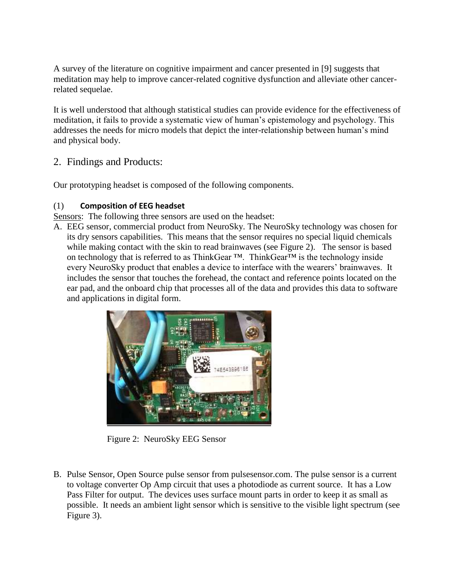A survey of the literature on cognitive impairment and cancer presented in [9] suggests that meditation may help to improve cancer-related cognitive dysfunction and alleviate other cancerrelated sequelae.

It is well understood that although statistical studies can provide evidence for the effectiveness of meditation, it fails to provide a systematic view of human's epistemology and psychology. This addresses the needs for micro models that depict the inter-relationship between human's mind and physical body.

### 2. Findings and Products:

Our prototyping headset is composed of the following components.

#### (1) **Composition of EEG headset**

Sensors: The following three sensors are used on the headset:

A. EEG sensor, commercial product from NeuroSky. The NeuroSky technology was chosen for its dry sensors capabilities. This means that the sensor requires no special liquid chemicals while making contact with the skin to read brainwaves (see Figure 2). The sensor is based on technology that is referred to as ThinkGear ™. ThinkGear™ is the technology inside every NeuroSky product that enables a device to interface with the wearers' brainwaves. It includes the sensor that touches the forehead, the contact and reference points located on the ear pad, and the onboard chip that processes all of the data and provides this data to software and applications in digital form.



Figure 2: NeuroSky EEG Sensor

B. Pulse Sensor, Open Source pulse sensor from pulsesensor.com. The pulse sensor is a current to voltage converter Op Amp circuit that uses a photodiode as current source. It has a Low Pass Filter for output. The devices uses surface mount parts in order to keep it as small as possible. It needs an ambient light sensor which is sensitive to the visible light spectrum (see Figure 3).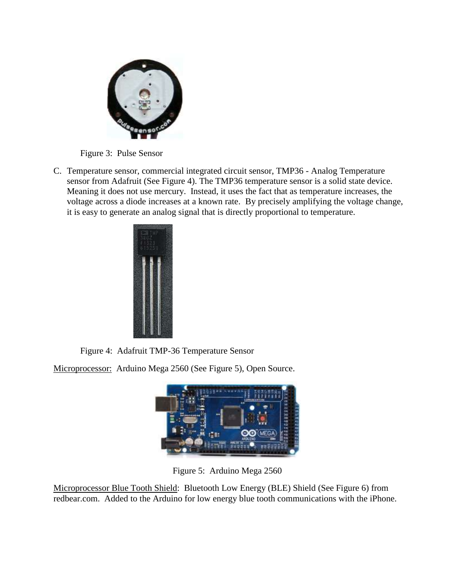

Figure 3: Pulse Sensor

C. Temperature sensor, commercial integrated circuit sensor, TMP36 - Analog Temperature sensor from Adafruit (See Figure 4). The TMP36 temperature sensor is a solid state device. Meaning it does not use mercury. Instead, it uses the fact that as temperature increases, the voltage across a diode increases at a known rate. By precisely amplifying the voltage change, it is easy to generate an analog signal that is directly proportional to temperature.



Figure 4: Adafruit TMP-36 Temperature Sensor

Microprocessor: Arduino Mega 2560 (See Figure 5), Open Source.



Figure 5: Arduino Mega 2560

Microprocessor Blue Tooth Shield: Bluetooth Low Energy (BLE) Shield (See Figure 6) from redbear.com. Added to the Arduino for low energy blue tooth communications with the iPhone.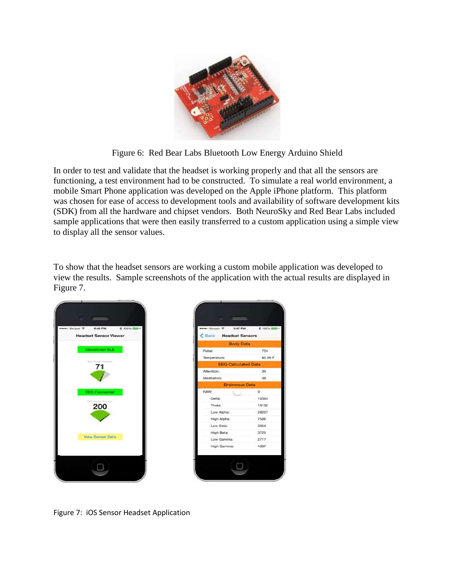

Figure 6: Red Bear Labs Bluetooth Low Energy Arduino Shield

In order to test and validate that the headset is working properly and that all the sensors are functioning, a test environment had to be constructed. To simulate a real world environment, a mobile Smart Phone application was developed on the Apple iPhone platform. This platform was chosen for ease of access to development tools and availability of software development kits (SDK) from all the hardware and chipset vendors. Both NeuroSky and Red Bear Labs included sample applications that were then easily transferred to a custom application using a simple view to display all the sensor values.

To show that the headset sensors are working a custom mobile application was developed to view the results. Sample screenshots of the application with the actual results are displayed in Figure 7.



Figure 7: iOS Sensor Headset Application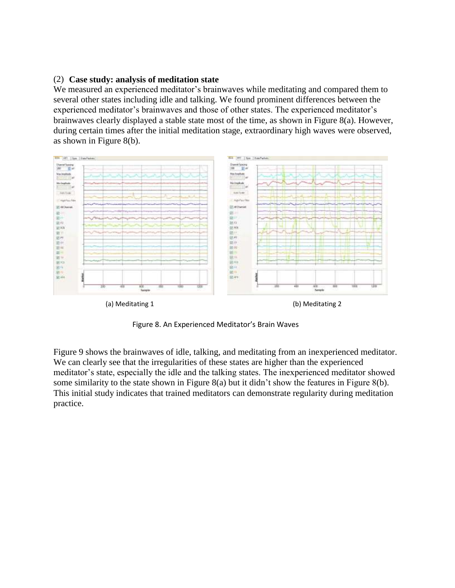#### (2) **Case study: analysis of meditation state**

We measured an experienced meditator's brainwaves while meditating and compared them to several other states including idle and talking. We found prominent differences between the experienced meditator's brainwaves and those of other states. The experienced meditator's brainwaves clearly displayed a stable state most of the time, as shown in Figure 8(a). However, during certain times after the initial meditation stage, extraordinary high waves were observed, as shown in Figure 8(b).



Figure 8. An Experienced Meditator's Brain Waves

Figure 9 shows the brainwaves of idle, talking, and meditating from an inexperienced meditator. We can clearly see that the irregularities of these states are higher than the experienced meditator's state, especially the idle and the talking states. The inexperienced meditator showed some similarity to the state shown in Figure 8(a) but it didn't show the features in Figure 8(b). This initial study indicates that trained meditators can demonstrate regularity during meditation practice.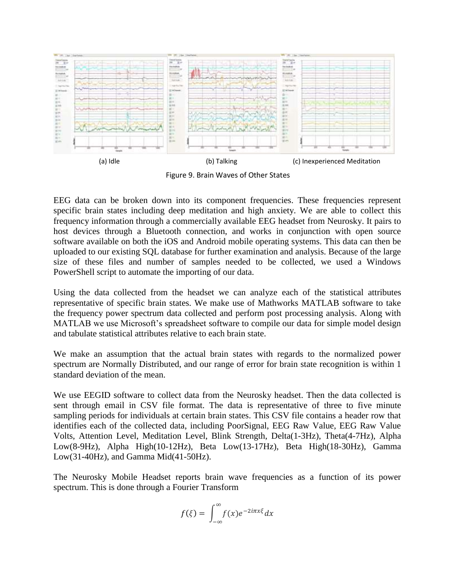

Figure 9. Brain Waves of Other States

EEG data can be broken down into its component frequencies. These frequencies represent specific brain states including deep meditation and high anxiety. We are able to collect this frequency information through a commercially available EEG headset from Neurosky. It pairs to host devices through a Bluetooth connection, and works in conjunction with open source software available on both the iOS and Android mobile operating systems. This data can then be uploaded to our existing SQL database for further examination and analysis. Because of the large size of these files and number of samples needed to be collected, we used a Windows PowerShell script to automate the importing of our data.

Using the data collected from the headset we can analyze each of the statistical attributes representative of specific brain states. We make use of Mathworks MATLAB software to take the frequency power spectrum data collected and perform post processing analysis. Along with MATLAB we use Microsoft's spreadsheet software to compile our data for simple model design and tabulate statistical attributes relative to each brain state.

We make an assumption that the actual brain states with regards to the normalized power spectrum are Normally Distributed, and our range of error for brain state recognition is within 1 standard deviation of the mean.

We use EEGID software to collect data from the Neurosky headset. Then the data collected is sent through email in CSV file format. The data is representative of three to five minute sampling periods for individuals at certain brain states. This CSV file contains a header row that identifies each of the collected data, including PoorSignal, EEG Raw Value, EEG Raw Value Volts, Attention Level, Meditation Level, Blink Strength, Delta(1-3Hz), Theta(4-7Hz), Alpha Low(8-9Hz), Alpha High(10-12Hz), Beta Low(13-17Hz), Beta High(18-30Hz), Gamma Low(31-40Hz), and Gamma Mid(41-50Hz).

The Neurosky Mobile Headset reports brain wave frequencies as a function of its power spectrum. This is done through a Fourier Transform

$$
f(\xi) = \int_{-\infty}^{\infty} f(x)e^{-2i\pi x\xi} dx
$$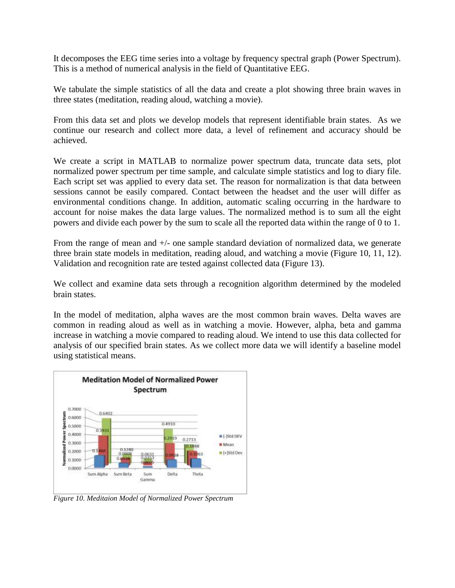It decomposes the EEG time series into a voltage by frequency spectral graph (Power Spectrum). This is a method of numerical analysis in the field of Quantitative EEG.

We tabulate the simple statistics of all the data and create a plot showing three brain waves in three states (meditation, reading aloud, watching a movie).

From this data set and plots we develop models that represent identifiable brain states. As we continue our research and collect more data, a level of refinement and accuracy should be achieved.

We create a script in MATLAB to normalize power spectrum data, truncate data sets, plot normalized power spectrum per time sample, and calculate simple statistics and log to diary file. Each script set was applied to every data set. The reason for normalization is that data between sessions cannot be easily compared. Contact between the headset and the user will differ as environmental conditions change. In addition, automatic scaling occurring in the hardware to account for noise makes the data large values. The normalized method is to sum all the eight powers and divide each power by the sum to scale all the reported data within the range of 0 to 1.

From the range of mean and  $+/-$  one sample standard deviation of normalized data, we generate three brain state models in meditation, reading aloud, and watching a movie (Figure 10, 11, 12). Validation and recognition rate are tested against collected data (Figure 13).

We collect and examine data sets through a recognition algorithm determined by the modeled brain states.

In the model of meditation, alpha waves are the most common brain waves. Delta waves are common in reading aloud as well as in watching a movie. However, alpha, beta and gamma increase in watching a movie compared to reading aloud. We intend to use this data collected for analysis of our specified brain states. As we collect more data we will identify a baseline model using statistical means.



*Figure 10. Meditaion Model of Normalized Power Spectrum*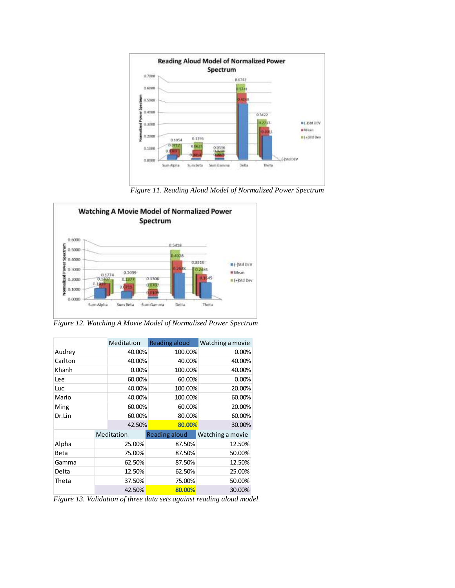

*Figure 11. Reading Aloud Model of Normalized Power Spectrum*



*Figure 12. Watching A Movie Model of Normalized Power Spectrum*

|         |        | Meditation | Reading aloud        | Watching a movie |
|---------|--------|------------|----------------------|------------------|
| Audrey  |        | 40.00%     | 100.00%              | 0.00%            |
| Carlton |        | 40.00%     | 40.00%               | 40.00%           |
| Khanh   |        | 0.00%      | 100.00%              | 40.00%           |
| Lee     |        | 60.00%     | 60.00%               | 0.00%            |
| Luc     |        | 40.00%     | 100.00%              | 20.00%           |
| Mario   |        | 40.00%     | 100.00%              | 60.00%           |
| Ming    |        | 60.00%     | 60.00%               | 20.00%           |
| Dr.Lin  |        | 60.00%     | 80.00%               | 60.00%           |
|         |        | 42.50%     | 80.00%               | 30.00%           |
|         |        | Meditation | <b>Reading aloud</b> | Watching a movie |
| Alpha   |        | 25.00%     | 87.50%               | 12.50%           |
| Beta    | 75.00% |            | 87.50%               | 50.00%           |
| Gamma   | 62.50% |            | 87.50%               | 12.50%           |
| Delta   | 12.50% |            | 62.50%               | 25.00%           |
| Theta   |        | 37.50%     | 75.00%               | 50.00%           |
|         |        | 42.50%     | 80.00%               | 30.00%           |

*Figure 13. Validation of three data sets against reading aloud model*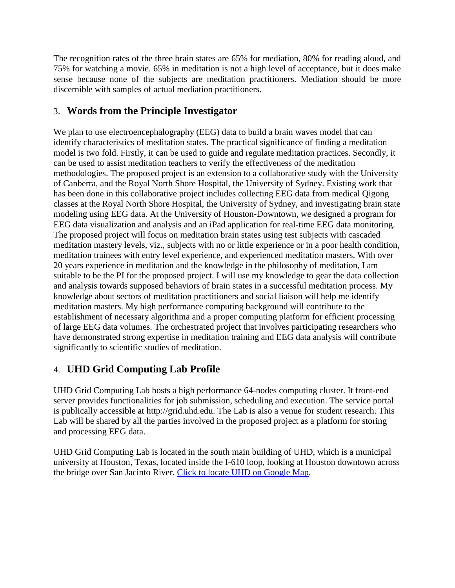The recognition rates of the three brain states are 65% for mediation, 80% for reading aloud, and 75% for watching a movie. 65% in meditation is not a high level of acceptance, but it does make sense because none of the subjects are meditation practitioners. Mediation should be more discernible with samples of actual mediation practitioners.

# 3. **Words from the Principle Investigator**

We plan to use electroencephalography (EEG) data to build a brain waves model that can identify characteristics of meditation states. The practical significance of finding a meditation model is two fold. Firstly, it can be used to guide and regulate meditation practices. Secondly, it can be used to assist meditation teachers to verify the effectiveness of the meditation methodologies. The proposed project is an extension to a collaborative study with the University of Canberra, and the Royal North Shore Hospital, the University of Sydney. Existing work that has been done in this collaborative project includes collecting EEG data from medical Qigong classes at the Royal North Shore Hospital, the University of Sydney, and investigating brain state modeling using EEG data. At the University of Houston-Downtown, we designed a program for EEG data visualization and analysis and an iPad application for real-time EEG data monitoring. The proposed project will focus on meditation brain states using test subjects with cascaded meditation mastery levels, viz., subjects with no or little experience or in a poor health condition, meditation trainees with entry level experience, and experienced meditation masters. With over 20 years experience in meditation and the knowledge in the philosophy of meditation, I am suitable to be the PI for the proposed project. I will use my knowledge to gear the data collection and analysis towards supposed behaviors of brain states in a successful meditation process. My knowledge about sectors of meditation practitioners and social liaison will help me identify meditation masters. My high performance computing background will contribute to the establishment of necessary algorithma and a proper computing platform for efficient processing of large EEG data volumes. The orchestrated project that involves participating researchers who have demonstrated strong expertise in meditation training and EEG data analysis will contribute significantly to scientific studies of meditation.

# 4. **UHD Grid Computing Lab Profile**

UHD Grid Computing Lab hosts a high performance 64-nodes computing cluster. It front-end server provides functionalities for job submission, scheduling and execution. The service portal is publically accessible at [http://grid.uhd.edu.](http://grid.uhd.edu/) The Lab is also a venue for student research. This Lab will be shared by all the parties involved in the proposed project as a platform for storing and processing EEG data.

UHD Grid Computing Lab is located in the south main building of UHD, which is a municipal university at Houston, Texas, located inside the I-610 loop, looking at Houston downtown across the bridge over San Jacinto River. [Click to locate UHD on Google Map.](https://www.google.com/maps/place/University+of+Houston-Downtown/@29.766005,-95.359154,17z/data=!3m1!4b1!4m2!3m1!1s0x8640bf2c67bffad3:0x42df04e8e4031f57)